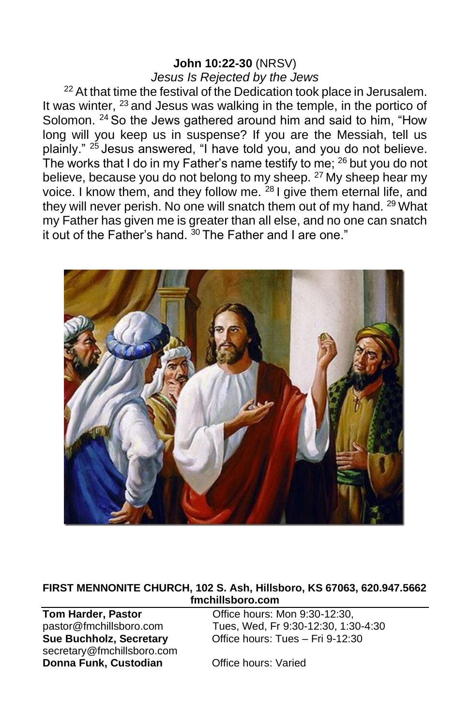# **John 10:22-30** (NRSV)

*Jesus Is Rejected by the Jews*

<sup>22</sup> At that time the festival of the Dedication took place in Jerusalem. It was winter,  $23$  and Jesus was walking in the temple, in the portico of Solomon. <sup>24</sup> So the Jews gathered around him and said to him. "How long will you keep us in suspense? If you are the Messiah, tell us plainly." <sup>25</sup> Jesus answered, "I have told you, and you do not believe. The works that I do in my Father's name testify to me; <sup>26</sup> but you do not believe, because you do not belong to my sheep. <sup>27</sup> My sheep hear my voice. I know them, and they follow me. <sup>28</sup> I give them eternal life, and they will never perish. No one will snatch them out of my hand. <sup>29</sup> What my Father has given me is greater than all else, and no one can snatch it out of the Father's hand.  $30$  The Father and I are one."



#### **FIRST MENNONITE CHURCH, 102 S. Ash, Hillsboro, KS 67063, 620.947.5662 fmchillsboro.com**

**Sue Buchholz, Secretary** secretary@fmchillsboro.com **Donna Funk, Custodian Office hours: Varied** 

**Tom Harder, Pastor Conservery Contract** Office hours: Mon 9:30-12:30. pastor@fmchillsboro.com Tues, Wed, Fr 9:30-12:30, 1:30-4:30<br> **Sue Buchholz. Secretary** Office hours: Tues – Fri 9-12:30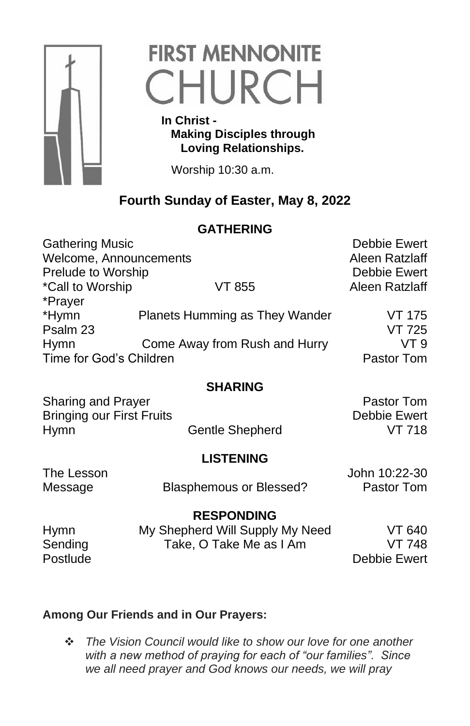

# **FIRST MENNONITE** CHURCH

 **In Christ - Making Disciples through Loving Relationships.**

Worship 10:30 a.m.

# **Fourth Sunday of Easter, May 8, 2022**

### **GATHERING**

| <b>Gathering Music</b>  |                                | Debbie Ewert        |
|-------------------------|--------------------------------|---------------------|
| Welcome, Announcements  |                                | Aleen Ratzlaff      |
| Prelude to Worship      |                                | <b>Debbie Ewert</b> |
| *Call to Worship        | VT 855                         | Aleen Ratzlaff      |
| *Prayer                 |                                |                     |
| *Hymn                   | Planets Humming as They Wander | <b>VT 175</b>       |
| Psalm 23                |                                | <b>VT 725</b>       |
| <b>Hymn</b>             | Come Away from Rush and Hurry  | VT 9                |
| Time for God's Children |                                | Pastor Tom          |
|                         |                                |                     |

#### **SHARING**

Sharing and Prayer **Pastor Tom** Bringing our First Fruits **Debbie Ewert** Hymn Gentle Shepherd VT 718

#### **LISTENING**

Message Blasphemous or Blessed? Pastor Tom

The Lesson Communication Communication of the Local Communication of the United States of the United States of the United States of the United States of the United States of the United States of the United States of the Un

**RESPONDING** Hymn My Shepherd Will Supply My Need VT 640 Sending Take, O Take Me as I Am VT 748

Postlude **Debbie Ewert** 

## **Among Our Friends and in Our Prayers:**

❖ *The Vision Council would like to show our love for one another with a new method of praying for each of "our families". Since we all need prayer and God knows our needs, we will pray*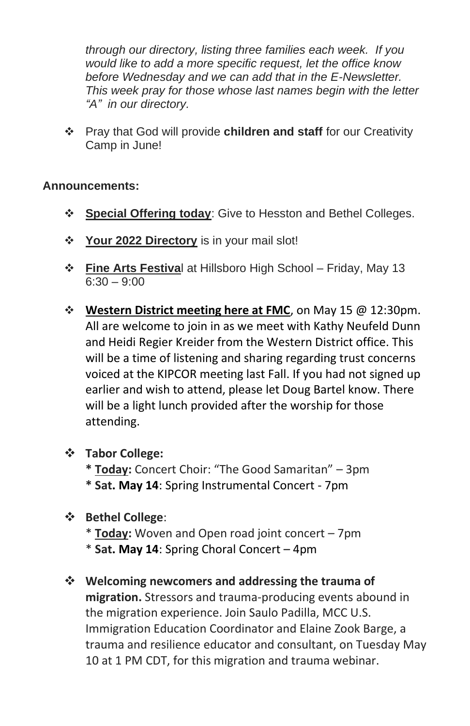*through our directory, listing three families each week. If you would like to add a more specific request, let the office know before Wednesday and we can add that in the E-Newsletter. This week pray for those whose last names begin with the letter "A" in our directory.* 

❖ Pray that God will provide **children and staff** for our Creativity Camp in June!

#### **Announcements:**

- ❖ **Special Offering today**: Give to Hesston and Bethel Colleges.
- ❖ **Your 2022 Directory** is in your mail slot!
- ❖ **Fine Arts Festiva**l at Hillsboro High School Friday, May 13 6:30 – 9:00
- ❖ **Western District meeting here at FMC**, on May 15 @ 12:30pm. All are welcome to join in as we meet with Kathy Neufeld Dunn and Heidi Regier Kreider from the Western District office. This will be a time of listening and sharing regarding trust concerns voiced at the KIPCOR meeting last Fall. If you had not signed up earlier and wish to attend, please let Doug Bartel know. There will be a light lunch provided after the worship for those attending.
- ❖ **Tabor College:**
	- **\* Today:** Concert Choir: "The Good Samaritan" 3pm **\* Sat. May 14**: Spring Instrumental Concert - 7pm

#### ❖ **Bethel College**:

- \* **Today:** Woven and Open road joint concert 7pm
- \* **Sat. May 14**: Spring Choral Concert 4pm
- ❖ **Welcoming newcomers and addressing the trauma of migration.** Stressors and trauma-producing events abound in the migration experience. Join Saulo Padilla, MCC U.S. Immigration Education Coordinator and Elaine Zook Barge, a trauma and resilience educator and consultant, on Tuesday May 10 at 1 PM CDT, for this migration and trauma webinar.